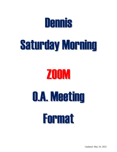

# Saturday Morning

# ZOOM O.A. Meeting Format

Updated: May 24, 2022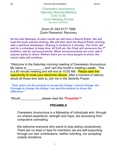Overeaters Anonymous Saturday Morning Meeting 9:00-10:00 Zoom Meeting Format Revised 5/24/2022

Zoom ID: 842 8177 7988 Zoom Password: Recovery

**On the last Saturday of each month we will have a Round Robin. We will read the tools without sharing. We will then start the Round Robin sharing with a spiritual timekeeper. Sharing is limited to 2 minutes. The Chair will ask for a volunteer to keep time. At 9:40 am, the Chair will announce the 7th tradition, ask for announcements. When announcements are over, ask if anyone wants to share. If/when there are no more people to share, the round robin will continue.**

"Welcome to the Saturday morning meeting of Overeaters Anonymous. My name is This and I am this month's meeting Leader. This is a 60 minute meeting and will end at 10:00 AM. Please take this opportunity to mute your electronic device. After a moment of silence, would all those who wish to, join me in the Serenity Prayer.

*"God, grant me the serenity to accept the things I cannot change, the Courage to change the things I can and the wisdom to know the difference."*

"Would \_\_\_\_\_\_\_\_\_\_\_\_ please read the "**Preamble**"?

# **PREAMBLE**

Overeaters Anonymous is a fellowship of Individuals who, through our shared experience, strength and hope, are recovering from compulsive overeating.

We welcome everyone who wants to stop eating compulsively. There are no dues or fees for members; we are self-supporting through our own contributions, neither soliciting, nor accepting outside donations.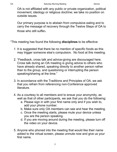OA is not affiliated with any public or private organization, political movement, ideology or religious doctrine; we take no position on outside issues.

Our primary purpose is to abstain from compulsive eating and to carry the message of recovery through the Twelve Steps of OA to those who still suffer**.**

"This meeting has found the following **disciplines** to be effective:

- 1. It is suggested that there be no mention of specific foods as this may trigger someone else's compulsion. No food at this meeting.
- 2. "Feedback, cross talk and advice-giving are discouraged here. Cross talk during an OA meeting is giving advice to others who have already shared, speaking directly to another person rather than to the group, and questioning or interrupting the person speaking/sharing at the time."
- 3. In accordance with the Traditions and Principles of OA, we ask that you refrain from referencing non-Conference approved literature.
- 4. As a courtesy to all members and to ensue your anonymity, as well as that of other participants, we ask that you do the following:
	- a. Please sign in with your first name only and if you wish to, add your phone number.
	- b. Make sure only OA members can see and hear the meeting.
	- c. Once the meeting starts, please mute your device unless you are the person speaking.
	- d. If you are moving around during the meeting, please turn off the video on your device.
- 5. Anyone who phoned into the meeting that would like their name added to the virtual screen, please unmute now and give us your first name.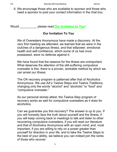6. We encourage those who are available to sponsor and those who need a sponsor to post your contact information in the chat box.

Would \_\_\_\_\_\_\_\_\_\_ please read **Our Invitation to You**?

# **Our Invitation To You**

We of Overeaters Anonymous have made a discovery. At the very first meeting we attended, we learned that we were in the clutches of a dangerous illness, and that willpower, emotional health and self-confidence, which some of us had once possessed, were no defense against it.

We have found that the reasons for the illness are unimportant. What deserves the attention of the still-suffering compulsive overeater is this: there is a proven, workable method by which we can arrest our illness.

The OA recovery program is patterned after that of Alcoholics Anonymous. We use AA's Twelve Steps and Twelve Traditions, changing only the words "alcohol" and "alcoholic" to "food" and "compulsive overeater."

As our personal stories attest, the Twelve-Step program of recovery works as well for compulsive overeaters as it does for alcoholics.

Can we guarantee you this recovery? The answer is up to you. If you will honestly face the truth about yourself and the illness; if you will keep coming back to meetings to talk and listen to other recovering compulsive overeaters; if you will read our literature and that of Alcoholics Anonymous with an open mind; and, most important, if you are willing to rely on a power greater than yourself for direction in your life, and to take the Twelve Steps to the best of your ability, we believe you can indeed join the ranks of those who recover.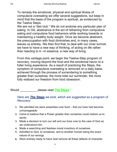To remedy the emotional, physical and spiritual illness of compulsive overeating we offer several suggestions, but keep in mind that the basis of the program is spiritual, as evidenced by the Twelve Steps.

We are not a "diet club." We do not endorse any particular plan of eating. In OA, abstinence is the act of refraining from compulsive eating and compulsive food behaviors while working towards or maintaining a healthy body weight. Once we become abstinent, the preoccupation with food diminishes and, in many cases, leaves us entirely. We then find that, to deal with our inner turmoil, we have to have a new way of thinking, of acting on life rather than reacting to it—in essence, a new way of living.

From this vantage point, we begin the Twelve-Step program of recovery, moving beyond the food and the emotional havoc to a fuller living experience. As a result of practicing the Steps, the symptom of compulsive overeating is removed on a daily basis, achieved through the process of surrendering to something greater than ourselves; the more total our surrender, the more fully realized our freedom from food obsession.

Would \_\_\_\_\_\_\_\_\_\_ please read **The Steps**?

## *Here are The Steps we took, which are suggested as a program of Recovery:*

- **1.** We admitted we were powerless over food that our lives had become unmanageable.
- **2.** Came to believe that a Power greater than ourselves could restore us to sanity.
- **3.** Made a decision to turn our will and our lives over to the care of God *as we understood him*.
- **4.** Made a searching and fearless moral inventory of ourselves.
- **5.** Admitted to God, to ourselves, and to another human being the exact nature of our wrongs.
- **6.** Were entirely ready to have God remove all these defects of character.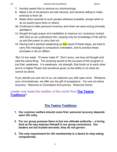- **7.** Humbly asked Him to remove our shortcomings.
- **8.** Made a list of all persons we had harmed, and became willing to make amends to them all.
- **9.** Made direct amends to such people wherever possible, except when to do so would injure them or others.
- **10.** Continued to take personal inventory and when we were wrong promptly admitted it.
- **11.** Sought through prayer and meditation to improve our conscious contact with God *as we understood Him*, praying only for knowledge of His will for us and the power to carry that out.
- **12.** Having had a spiritual awakening as the result of these steps, we tried to carry this message to compulsive overeaters, and to practice these principles in all our affairs.

"But I'm too weak. I'll never make it!" Don't worry, we have all thought and said the same thing. The amazing secret to the success of this program is just that: weakness. It is weakness, not strength, that binds us to each other and to a Higher Power and somehow gives us the ability to do what we cannot do alone.

If you decide you are one of us, we welcome you with open arms. Whatever your circumstances, we offer you the gift of acceptance. You are not alone anymore. Welcome to Overeaters Anonymous. Welcome home!

*Leader now reads the tradition of the month from* **The Twelve Traditions**?

# **The Twelve Traditions**

- **1. Our common welfare should come first; personal recovery depends upon OA unity.**
- **2. For our group purpose there is but one ultimate authority – a loving God as He may express Himself in our group conscience. Our leaders are but trusted servants; they do not govern.**
- **3. The only requirement for OA membership is a desire to stop eating compulsively.**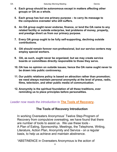- **4. Each group should be autonomous except in matters affecting other groups or OA as a whole.**
- **5. Each group has but one primary purpose – to carry its message to the compulsive overeater who still suffers.**
- **6. An OA group ought never endorse, finance, or lend the OA name to any related facility or outside enterprise, lest problems of money, property, and prestige divert us from our primary purpose.**
- **7. Every OA group ought to be fully self-supporting, declining outside contributions.**
- **8. OA should remain forever non-professional, but our service centers may employ special workers.**
- **9. OA, as such, ought never be organized; but we may create service boards or committees directly responsible to those they serve.**
- **10. OA has no opinion on outside issues; hence the OA name ought never to be drawn into public controversy.**
- **11. Our public relations policy is based on attraction rather than promotion; we need always maintain personal anonymity at the level of press, radio, films, television, and other public media of communication.**
- **12. Anonymity is the spiritual foundation of all these traditions, ever reminding us to place principles before personalities.**

*Leader now reads the introduction to* **The Tools of Recovery**.

# **The Tools of Recovery Introduction**

In working Overeaters Anonymous' Twelve Step-Program of Recovery from compulsive overeating, we have found that there are number of tools to assist us. We use these tools - A Plan of Eating, Sponsorship, Meetings, the Telephone, Writing, Literature, Action Plan, Anonymity and Service - on a regular basis, to help us achieve and maintain abstinence.

"ABSTINENCE in Overeaters Anonymous is the action of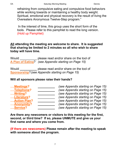refraining from compulsive eating and compulsive food behaviors while working towards or maintaining a healthy body weight. Spiritual, emotional and physical recovery is the result of living the Overeaters Anonymous Twelve-Step program."

In the interest of time, this group uses the short form of the tools. Please refer to this pamphlet to read the long version. (Hold up Pamphlet)

**All attending the meeting are welcome to share. It is suggested that sharing be limited to 2 minutes so all who wish to share today will have time.**

| Would | please read and/or share on the tool of<br><b>A Plan of Eating?</b> (see Appendix starting on Page 15) |
|-------|--------------------------------------------------------------------------------------------------------|
| Would | please read and/or share on the tool of<br><b>Sponsorship?</b> (see Appendix starting on Page 15)      |

# **Will all sponsors please raise their hands?**

| Meetings?    |  |
|--------------|--|
| Telephone?   |  |
| Writing?     |  |
| Literature?  |  |
| Action Plan? |  |
| Anonymity?   |  |
| Service?     |  |

**(see Appendix starting on Page 15) (see Appendix starting on Page 15) (see Appendix starting on Page 15) (see Appendix starting on Page 15) (see Appendix starting on Page 15) (see Appendix starting on Page 15) (see Appendix starting on Page 15)** 

**Are there any newcomers or visitors to this meeting for the first, second, or third time? If so, please UNMUTE and give us your first name and where you come from.**

**(If there are newcomers) Please remain after the meeting to speak with someone about the program.**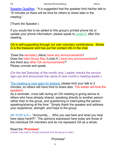Speaker Qualifies. "It is suggested that the speaker limit his/her talk to 15 minutes so there will be time for others to share later in the meeting."

(Thank the Speaker.)

If you would like to be added to this group's printed phone list or update your phone information, please speak to Linda H. after this meeting.

OA is self-supporting through our own voluntary contributions. Sheila G is the treasurer and has put her contact info in the chat.

"Does the secretary (Alice) have any announcements? Does the Inter-Group Rep (Linda H.) have any announcements? Are there any other OA announcements?" Please unmute and speak.

(On the last Saturday of the month only, Leader checks the service sign-ups and announces the name of next month's meeting leader.)

The meeting is now open for sharing, please limit your talk to 2 minutes, so others will have time to share also. The leader will time the speakers.

As a reminder, cross talk during an OA meeting is giving advice to others who have already shared, speaking directly to another person rather than to the group, and questioning or interrupting the person speaking/sharing at the time." Simply thank the speaker and address your experience, strength, and hope to the group.

(At 10:00 a.m.) "Anonymity…. Who you see here and what you hear here stays here!!!!". The opinions expressed here today are those of the individual OA members and do not represent OA as a whole.

Read the "**Promises**"

(Leader may read or choose someone from the group to read.)

Promises\*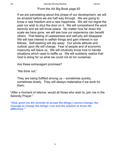# \*From the AA Big Book page 83

If we are painstaking about this phase of our development, we will be amazed before we are half way through. We are going to know a new freedom and a new happiness. We will not regret the past nor wish to shut the door on it. We will comprehend the word serenity and we will know peace. No matter how far down the scale we have gone, we will see how our experience can benefit others. That feeling of uselessness and self-pity will disappear. We will lose interest in selfish things and gain interest in our fellows. Self-seeking will slip away. Our whole attitude and outlook upon life will change. Fear of people and of economic insecurity will leave us. We will intuitively know how to handle situations which used to baffle us. We will suddenly realize that God is doing for us what we could not do for ourselves.

Are these extravagant promises?

"We think not."

They are being fulfilled among us – sometimes quickly, sometimes slowly. They will always materialize if we work for them.

"After a moment of silence, would all those who wish to, join me in the Serenity Prayer."

*"God, grant me the serenity to accept the things I cannot change, the Courage to change the things I can and the wisdom to know the difference."*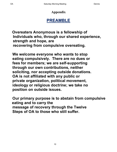# **Appendix**

# **PREAMBLE**

 **Overeaters Anonymous is a fellowship of Individuals who, through our shared experience, strength and hope, are recovering from compulsive overeating.** 

 **We welcome everyone who wants to stop eating compulsively. There are no dues or fees for members; we are self-supporting through our own contributions, neither soliciting, nor accepting outside donations. OA is not affiliated with any public or private organization, political movement, ideology or religious doctrine; we take no position on outside issues.** 

**Our primary purpose is to abstain from compulsive eating and to carry the message of recovery through the Twelve Steps of OA to those who still suffer.**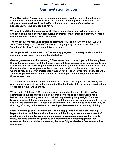# **Our invitation to you**

**We of Overeaters Anonymous have made a discovery. At the very first meeting we attended, we learned that we were in the clutches of a dangerous illness, and that willpower, emotional health and self-confidence, which some of us had once possessed, were no defense against it.**

**We have found that the reasons for the illness are unimportant. What deserves the attention of the still-suffering compulsive overeater is this: there is a proven, workable method by which we can arrest our illness.**

**The OA recovery program is patterned after that of Alcoholics Anonymous. We use AA's Twelve Steps and Twelve Traditions, changing only the words "alcohol" and "alcoholic" to "food" and "compulsive overeater."**

**As our personal stories attest, the Twelve-Step program of recovery works as well for compulsive overeaters as it does for alcoholics.**

**Can we guarantee you this recovery? The answer is up to you. If you will honestly face the truth about yourself and the illness; if you will keep coming back to meetings to talk and listen to other recovering compulsive overeaters; if you will read our literature and that of Alcoholics Anonymous with an open mind; and, most important, if you are willing to rely on a power greater than yourself for direction in your life, and to take the Twelve Steps to the best of your ability, we believe you can indeed join the ranks of those who recover.**

**To remedy the emotional, physical and spiritual illness of compulsive overeating we offer several suggestions, but keep in mind that the basis of the program is spiritual, as evidenced by the Twelve Steps.**

**We are not a "diet club." We do not endorse any particular plan of eating. In OA, abstinence is the act of refraining from compulsive eating and compulsive food behaviors while working towards or maintaining a healthy body weight. Once we become abstinent, the preoccupation with food diminishes and in many cases leaves us entirely. We then find that, to deal with our inner turmoil, we have to have a new way of thinking, of acting on life rather than reacting to it—in essence, a new way of living.**

**From this vantage point, we begin the Twelve-Step program of recovery, moving beyond the food and the emotional havoc to a fuller living experience. As a result of practicing the Steps, the symptom of compulsive overeating is removed on a daily basis, achieved through the process of surrendering to something greater than ourselves; the more total our surrender, the more fully realized our freedom from food obsession.**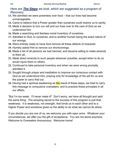*Here are The Steps we took, which are suggested as a program of Recovery:* 

- **13.** We admitted we were powerless over food that our lives had become unmanageable.
- **14.** Came to believe that a Power greater than ourselves could restore us to sanity.
- **15.** Made a decision to turn our will and our lives over to the care of God *as we understood him*.
- **16.** Made a searching and fearless moral inventory of ourselves.
- **17.** Admitted to God, to ourselves, and to another human being the exact nature of our wrongs.
- **18.** Were entirely ready to have God remove all these defects of character.
- **19.** Humbly asked Him to remove our shortcomings.
- **20.** Made a list of all persons we had harmed, and became willing to make amends to them all.
- **21.** Made direct amends to such people wherever possible, except when to do so would injure them or others.
- **22.** Continued to take personal inventory and when we were wrong promptly admitted it.
- **23.** Sought through prayer and meditation to improve our conscious contact with God *as we understood Him*, praying only for knowledge of His will for us and the power to carry that out.
- 24. Having had a spiritual awakening as the result of these steps, we tried to carry this message to compulsive overeaters, and to practice these principles in all our affairs.

"But I'm too weak. I'll never make it!" Don't worry, we have all thought and said the same thing. The amazing secret to the success of this program is just that: weakness. It is weakness, not strength, that binds us to each other and to a Higher Power and somehow gives us the ability to do what we cannot do alone.

If you decide you are one of us, we welcome you with open arms. Whatever your circumstances, we offer you the gift of acceptance. You are not alone anymore. Welcome to Overeaters Anonymous. Welcome home!

12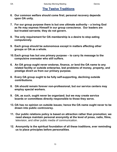## **The Twelve Traditions**

- **6. Our common welfare should come first; personal recovery depends upon OA unity.**
- **7. For our group purpose there is but one ultimate authority – a loving God as He may express Himself in our group conscience. Our leaders are but trusted servants; they do not govern.**
- **8. The only requirement for OA membership is a desire to stop eating compulsively.**
- **9. Each group should be autonomous except in matters affecting other groups or OA as a whole.**
- **10.Each group has but one primary purpose – to carry its message to the compulsive overeater who still suffers.**
- **6. An OA group ought never endorse, finance, or lend the OA name to any related facility or outside enterprise, lest problems of money, property, and prestige divert us from our primary purpose.**
- **8. Every OA group ought to be fully self-supporting, declining outside contributions.**
- **8. OA should remain forever non-professional, but our service centers may employ special workers.**
- **9. OA, as such, ought never be organized; but we may create service boards or committees directly responsible to those they serve.**
- **13. OA has no opinion on outside issues; hence the OA name ought never to be drawn into public controversy.**
- **11. Our public relations policy is based on attraction rather than promotion; we need always maintain personal anonymity at the level of press, radio, films,**  television, and other public media of communication.
- **12. Anonymity is the spiritual foundation of all these traditions, ever reminding us to place principles before personalities**.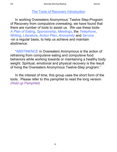# The Tools of Recovery Introduction

 In working Overeaters Anonymous' Twelve Step-Program of Recovery from compulsive overeating, we have found that there are number of tools to assist us. We use these tools-*A Plan of Eating*, *Sponsorship*, *Meetings*, the *Telephone*, *Writing*, *Literature, Action Plan*, *Anonymity* and *Service* -on a regular basis, to help us achieve and maintain abstinence.

 "ABSTINENCE in Overeaters Anonymous is the action of refraining from compulsive eating and compulsive food behaviors while working towards or maintaining a healthy body weight. Spiritual, emotional and physical recovery is the result of living the Overeaters Anonymous Twelve-Step program."

 In the interest of time, this group uses the short form of the tools. Please refer to this pamphlet to read the long version. *(Hold up Pamphlet)*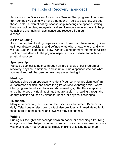# The Tools of Recovery (abridged)

As we work the Overeaters Anonymous Twelve Step program of recovery from compulsive eating, we have a number of Tools to assist us. We use these Tools—a plan of eating, sponsorship, meetings, telephone, writing, literature, action plan, anonymity, and service—on a regular basis, to help us achieve and maintain abstinence and recovery from our disease.

# **A Plan of Eating**

As a Tool, a plan of eating helps us abstain from compulsive eating, guides us in our dietary decisions, and defines what, when, how, where, and why we eat. (See the pamphlet A New Plan of Eating for more information.) This Tool helps us deal with the physical aspects of our disease and achieve physical recovery.

#### **Sponsorship**

We ask a sponsor to help us through all three levels of our program of recovery: physical, emotional, and spiritual. Find a sponsor who has what you want and ask that person how they are achieving it.

#### **Meetings**

Meetings give us an opportunity to identify our common problem, confirm our common solution, and share the gifts we receive through this Twelve Step program. In addition to face-to-face meetings, OA offers telephone and other types of virtual meetings that are useful in breaking through the deadly isolation caused by distance, illness, or physical challenges.

#### **Telephone**

Many members call, text, or email their sponsors and other OA members daily. Telephone or electronic contact also provides an immediate outlet for those hard-to-handle highs and lows we may experience.

#### **Writing**

Putting our thoughts and feelings down on paper, or describing a troubling or joyous incident, helps us better understand our actions and reactions in a way that is often not revealed by simply thinking or talking about them.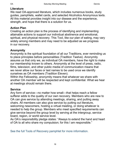# **Literature**

We read OA-approved literature, which includes numerous books, study guides, pamphlets, wallet cards, and selected Alcoholics Anonymous texts. All this material provides insight into our disease and the experience, strength, and hope that there is a solution for us.

# **Action Plan**

Creating an action plan is the process of identifying and implementing attainable actions to support our individual abstinence and emotional, spiritual, and physical recovery. This Tool, like our plan of eating, may vary widely among members and may need to be adjusted as we progress in our recovery.

# **Anonymity**

Anonymity is the spiritual foundation of all our Traditions, ever reminding us to place principles before personalities (Tradition Twelve). Anonymity assures us that only we, as individual OA members, have the right to make our membership known to others. Anonymity at the level of press, radio, films, television, and other public media of communication means that we never allow our faces or last names to be used once we identify ourselves as OA members (Tradition Eleven).

Within the Fellowship, anonymity means that whatever we share with another OA member will be respected and kept confidential. What we hear at meetings should remain there.

# **Service**

Any form of service—no matter how small—that helps reach a fellow sufferer adds to the quality of our own recovery. Members who are new to OA can give service by attending meetings, sharing, and putting away chairs. All members can also give service by putting out literature, welcoming newcomers, hosting a virtual meeting, or doing whatever is needed to help the group. Members who meet specified requirements can give service beyond the group level by serving at the intergroup, service board, region, or world service level.

As OA's responsibility pledge states: "Always to extend the hand and heart of OA to all who share my compulsion; for this I am responsible."

See the full Tools of Recovery pamphlet for more information.